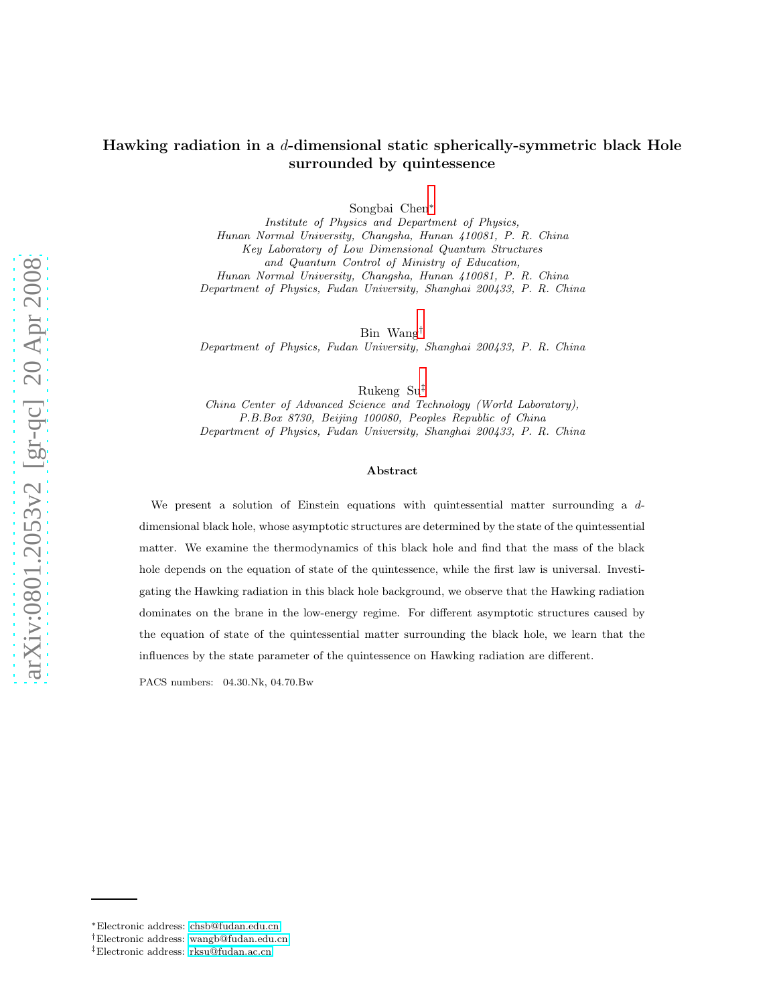Songbai Chen[∗](#page-0-0)

Institute of Physics and Department of Physics, Hunan Normal University, Changsha, Hunan 410081, P. R. China Key Laboratory of Low Dimensional Quantum Structures and Quantum Control of Ministry of Education, Hunan Normal University, Changsha, Hunan 410081, P. R. China Department of Physics, Fudan University, Shanghai 200433, P. R. China

Bin Wang[†](#page-0-1)

Department of Physics, Fudan University, Shanghai 200433, P. R. China

Rukeng Su[‡](#page-0-2)

China Center of Advanced Science and Technology (World Laboratory), P.B.Box 8730, Beijing 100080, Peoples Republic of China Department of Physics, Fudan University, Shanghai 200433, P. R. China

#### Abstract

We present a solution of Einstein equations with quintessential matter surrounding a  $d$ dimensional black hole, whose asymptotic structures are determined by the state of the quintessential matter. We examine the thermodynamics of this black hole and find that the mass of the black hole depends on the equation of state of the quintessence, while the first law is universal. Investigating the Hawking radiation in this black hole background, we observe that the Hawking radiation dominates on the brane in the low-energy regime. For different asymptotic structures caused by the equation of state of the quintessential matter surrounding the black hole, we learn that the influences by the state parameter of the quintessence on Hawking radiation are different.

PACS numbers: 04.30.Nk, 04.70.Bw

<span id="page-0-0"></span><sup>∗</sup>Electronic address: [chsb@fudan.edu.cn](mailto:chsb@fudan.edu.cn)

<span id="page-0-1"></span><sup>†</sup>Electronic address: [wangb@fudan.edu.cn](mailto:wangb@fudan.edu.cn)

<span id="page-0-2"></span><sup>‡</sup>Electronic address: [rksu@fudan.ac.cn](mailto:rksu@fudan.ac.cn)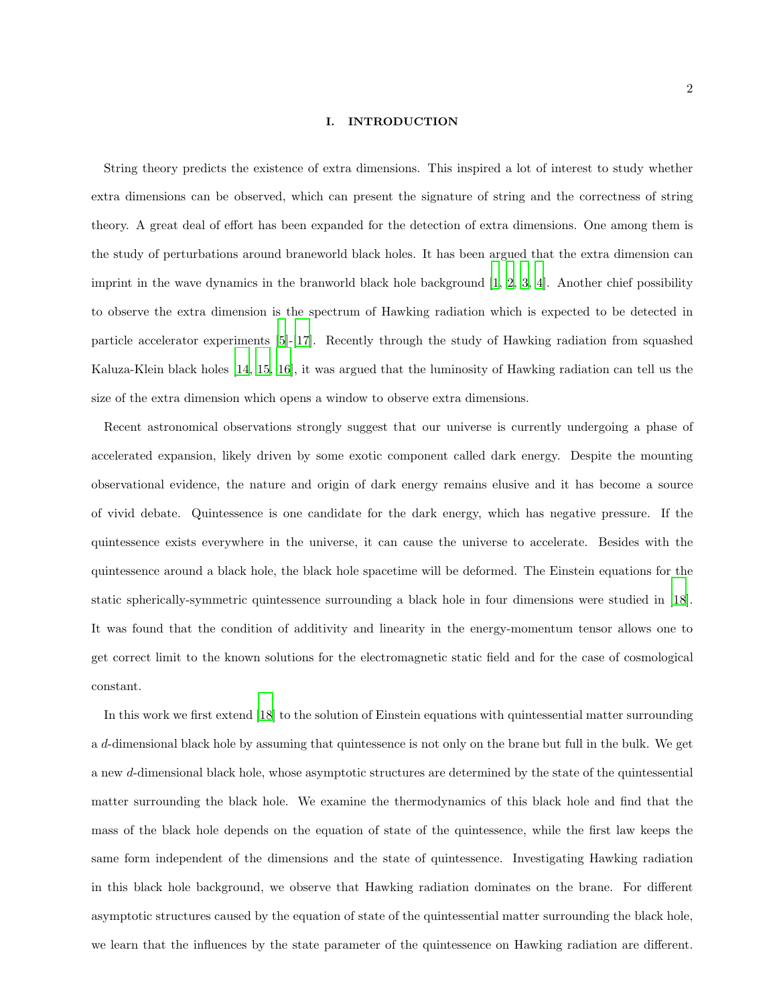#### I. INTRODUCTION

String theory predicts the existence of extra dimensions. This inspired a lot of interest to study whether extra dimensions can be observed, which can present the signature of string and the correctness of string theory. A great deal of effort has been expanded for the detection of extra dimensions. One among them is the study of perturbations around braneworld black holes. It has been argued that the extra dimension can imprint in the wave dynamics in the branworld black hole background  $[1, 2, 3, 4]$  $[1, 2, 3, 4]$  $[1, 2, 3, 4]$  $[1, 2, 3, 4]$  $[1, 2, 3, 4]$ . Another chief possibility to observe the extra dimension is the spectrum of Hawking radiation which is expected to be detected in particle accelerator experiments [\[5\]](#page-14-4)-[\[17\]](#page-15-0). Recently through the study of Hawking radiation from squashed Kaluza-Klein black holes [\[14,](#page-15-1) [15,](#page-15-2) [16\]](#page-15-3), it was argued that the luminosity of Hawking radiation can tell us the size of the extra dimension which opens a window to observe extra dimensions.

Recent astronomical observations strongly suggest that our universe is currently undergoing a phase of accelerated expansion, likely driven by some exotic component called dark energy. Despite the mounting observational evidence, the nature and origin of dark energy remains elusive and it has become a source of vivid debate. Quintessence is one candidate for the dark energy, which has negative pressure. If the quintessence exists everywhere in the universe, it can cause the universe to accelerate. Besides with the quintessence around a black hole, the black hole spacetime will be deformed. The Einstein equations for the static spherically-symmetric quintessence surrounding a black hole in four dimensions were studied in [\[18\]](#page-15-4). It was found that the condition of additivity and linearity in the energy-momentum tensor allows one to get correct limit to the known solutions for the electromagnetic static field and for the case of cosmological constant.

In this work we first extend [\[18\]](#page-15-4) to the solution of Einstein equations with quintessential matter surrounding a d-dimensional black hole by assuming that quintessence is not only on the brane but full in the bulk. We get a new d-dimensional black hole, whose asymptotic structures are determined by the state of the quintessential matter surrounding the black hole. We examine the thermodynamics of this black hole and find that the mass of the black hole depends on the equation of state of the quintessence, while the first law keeps the same form independent of the dimensions and the state of quintessence. Investigating Hawking radiation in this black hole background, we observe that Hawking radiation dominates on the brane. For different asymptotic structures caused by the equation of state of the quintessential matter surrounding the black hole, we learn that the influences by the state parameter of the quintessence on Hawking radiation are different.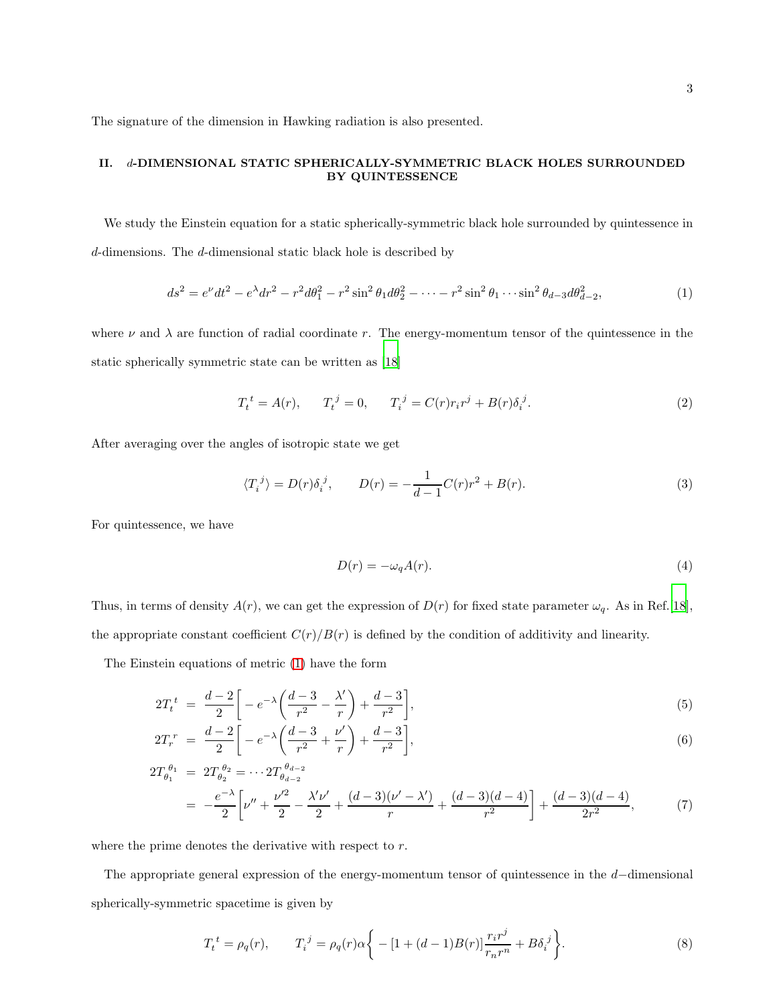The signature of the dimension in Hawking radiation is also presented.

# II. d-DIMENSIONAL STATIC SPHERICALLY-SYMMETRIC BLACK HOLES SURROUNDED BY QUINTESSENCE

We study the Einstein equation for a static spherically-symmetric black hole surrounded by quintessence in d-dimensions. The d-dimensional static black hole is described by

<span id="page-2-0"></span>
$$
ds^{2} = e^{\nu}dt^{2} - e^{\lambda}dr^{2} - r^{2}d\theta_{1}^{2} - r^{2}\sin^{2}\theta_{1}d\theta_{2}^{2} - \dots - r^{2}\sin^{2}\theta_{1}\dots\sin^{2}\theta_{d-3}d\theta_{d-2}^{2},\tag{1}
$$

where  $\nu$  and  $\lambda$  are function of radial coordinate r. The energy-momentum tensor of the quintessence in the static spherically symmetric state can be written as [\[18\]](#page-15-4)

$$
T_t^{\ t} = A(r), \qquad T_t^{\ j} = 0, \qquad T_i^{\ j} = C(r)r_i r^j + B(r)\delta_i^{\ j}.
$$
 (2)

After averaging over the angles of isotropic state we get

$$
\langle T_i^j \rangle = D(r)\delta_i^j, \qquad D(r) = -\frac{1}{d-1}C(r)r^2 + B(r). \tag{3}
$$

For quintessence, we have

$$
D(r) = -\omega_q A(r). \tag{4}
$$

Thus, in terms of density  $A(r)$ , we can get the expression of  $D(r)$  for fixed state parameter  $\omega_q$ . As in Ref.[\[18\]](#page-15-4), the appropriate constant coefficient  $C(r)/B(r)$  is defined by the condition of additivity and linearity.

The Einstein equations of metric [\(1\)](#page-2-0) have the form

$$
2T_t^{\ t} = \frac{d-2}{2} \bigg[ -e^{-\lambda} \bigg( \frac{d-3}{r^2} - \frac{\lambda'}{r} \bigg) + \frac{d-3}{r^2} \bigg],\tag{5}
$$

$$
2T_r^{\ r} = \frac{d-2}{2} \bigg[ -e^{-\lambda} \bigg( \frac{d-3}{r^2} + \frac{\nu'}{r} \bigg) + \frac{d-3}{r^2} \bigg],\tag{6}
$$

$$
2T_{\theta_1}^{\theta_1} = 2T_{\theta_2}^{\theta_2} = \cdots 2T_{\theta_{d-2}}^{\theta_{d-2}}
$$
  
= 
$$
-\frac{e^{-\lambda}}{2} \left[ \nu'' + \frac{\nu'^2}{2} - \frac{\lambda'\nu'}{2} + \frac{(d-3)(\nu' - \lambda')}{r} + \frac{(d-3)(d-4)}{r^2} \right] + \frac{(d-3)(d-4)}{2r^2},
$$
(7)

where the prime denotes the derivative with respect to r.

The appropriate general expression of the energy-momentum tensor of quintessence in the d−dimensional spherically-symmetric spacetime is given by

<span id="page-2-1"></span>
$$
T_t^{\ t} = \rho_q(r), \qquad T_i^{\ j} = \rho_q(r)\alpha \bigg\{ -[1 + (d-1)B(r)]\frac{r_i r^j}{r_n r^n} + B\delta_i^{\ j} \bigg\}. \tag{8}
$$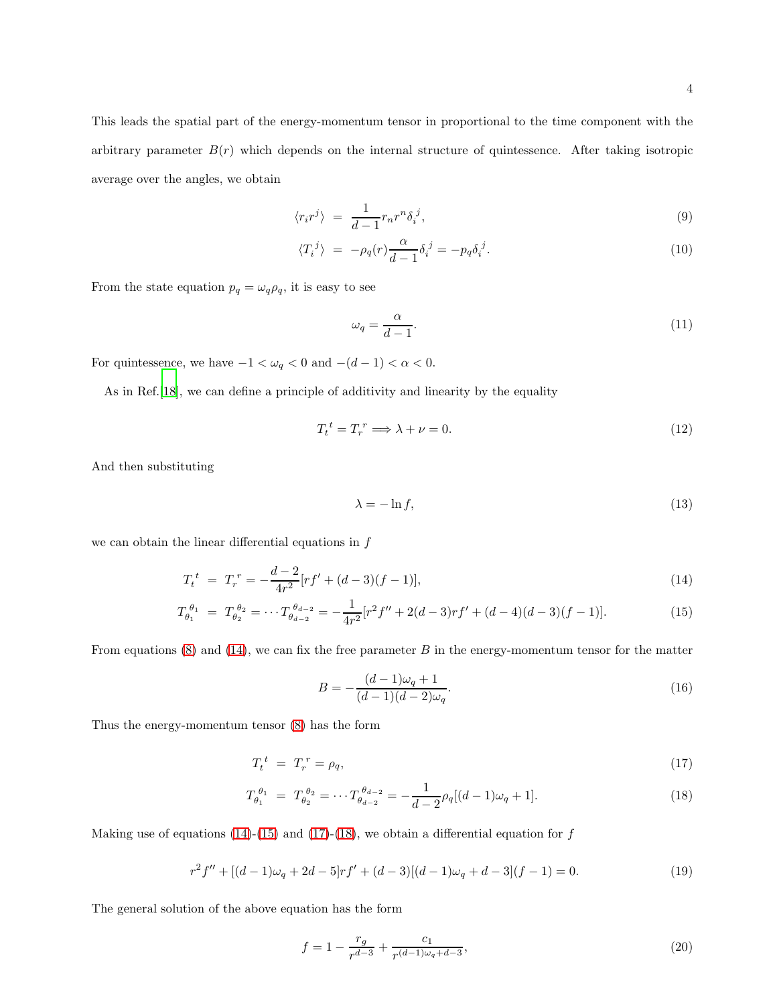This leads the spatial part of the energy-momentum tensor in proportional to the time component with the arbitrary parameter  $B(r)$  which depends on the internal structure of quintessence. After taking isotropic average over the angles, we obtain

$$
\langle r_i r^j \rangle = \frac{1}{d-1} r_n r^n \delta_i^j,\tag{9}
$$

$$
\langle T_i^j \rangle = -\rho_q(r) \frac{\alpha}{d-1} \delta_i^j = -p_q \delta_i^j. \tag{10}
$$

From the state equation  $p_q = \omega_q \rho_q$ , it is easy to see

$$
\omega_q = \frac{\alpha}{d-1}.\tag{11}
$$

For quintessence, we have  $-1<\omega_q<0$  and  $-(d-1)<\alpha<0.$ 

As in Ref.[\[18\]](#page-15-4), we can define a principle of additivity and linearity by the equality

$$
T_t^{\ t} = T_r^{\ r} \Longrightarrow \lambda + \nu = 0. \tag{12}
$$

And then substituting

$$
\lambda = -\ln f,\tag{13}
$$

we can obtain the linear differential equations in  $f$ 

<span id="page-3-0"></span>
$$
T_t^{\ t} = T_r^{\ r} = -\frac{d-2}{4r^2} [rf' + (d-3)(f-1)],\tag{14}
$$

$$
T_{\theta_1}^{\theta_1} = T_{\theta_2}^{\theta_2} = \cdots T_{\theta_{d-2}}^{\theta_{d-2}} = -\frac{1}{4r^2} [r^2 f'' + 2(d-3)rf' + (d-4)(d-3)(f-1)].\tag{15}
$$

From equations  $(8)$  and  $(14)$ , we can fix the free parameter B in the energy-momentum tensor for the matter

$$
B = -\frac{(d-1)\omega_q + 1}{(d-1)(d-2)\omega_q}.
$$
\n(16)

Thus the energy-momentum tensor [\(8\)](#page-2-1) has the form

<span id="page-3-1"></span>
$$
T_t^t = T_r^r = \rho_q,\tag{17}
$$

$$
T_{\theta_1}^{\theta_1} = T_{\theta_2}^{\theta_2} = \cdots T_{\theta_{d-2}}^{\theta_{d-2}} = -\frac{1}{d-2} \rho_q [(d-1)\omega_q + 1]. \tag{18}
$$

Making use of equations [\(14\)](#page-3-0)-[\(15\)](#page-3-0) and [\(17\)](#page-3-1)-[\(18\)](#page-3-1), we obtain a differential equation for  $f$ 

$$
r^{2} f'' + [(d-1)\omega_{q} + 2d - 5]rf' + (d-3)[(d-1)\omega_{q} + d - 3](f-1) = 0.
$$
\n(19)

The general solution of the above equation has the form

$$
f = 1 - \frac{r_g}{r^{d-3}} + \frac{c_1}{r^{(d-1)\omega_q + d-3}},\tag{20}
$$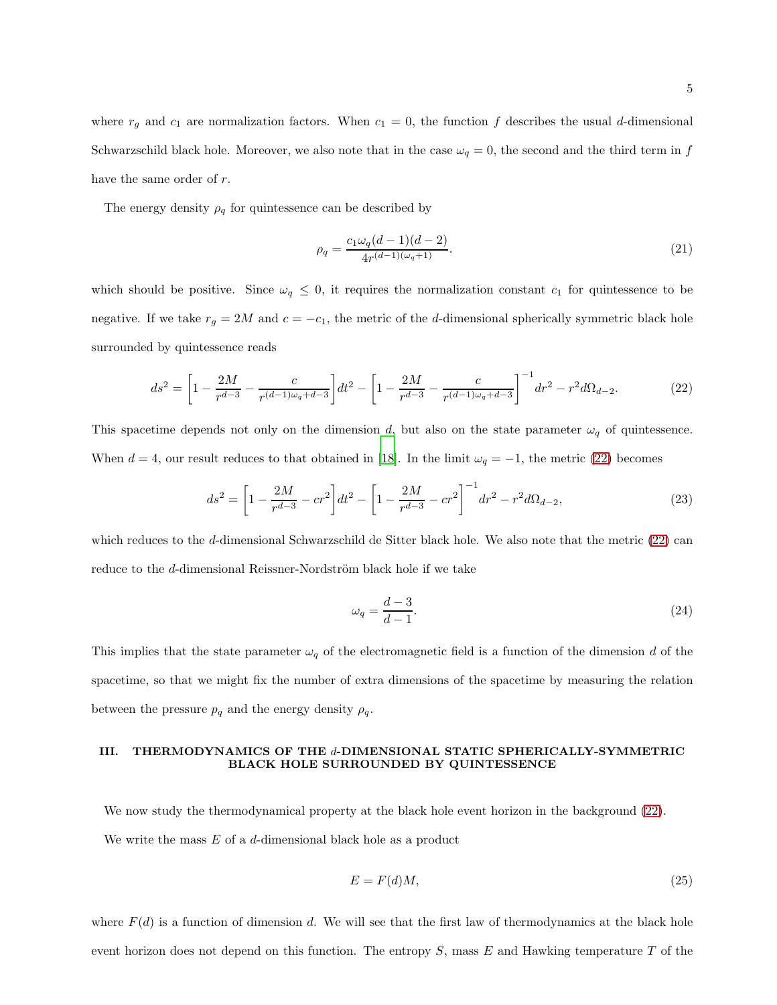where  $r_g$  and  $c_1$  are normalization factors. When  $c_1 = 0$ , the function f describes the usual d-dimensional Schwarzschild black hole. Moreover, we also note that in the case  $\omega_q = 0$ , the second and the third term in f have the same order of r.

The energy density  $\rho_q$  for quintessence can be described by

$$
\rho_q = \frac{c_1 \omega_q (d-1)(d-2)}{4r^{(d-1)(\omega_q+1)}}.
$$
\n(21)

which should be positive. Since  $\omega_q \leq 0$ , it requires the normalization constant  $c_1$  for quintessence to be negative. If we take  $r_g = 2M$  and  $c = -c_1$ , the metric of the d-dimensional spherically symmetric black hole surrounded by quintessence reads

<span id="page-4-0"></span>
$$
ds^{2} = \left[1 - \frac{2M}{r^{d-3}} - \frac{c}{r^{(d-1)\omega_{q} + d-3}}\right]dt^{2} - \left[1 - \frac{2M}{r^{d-3}} - \frac{c}{r^{(d-1)\omega_{q} + d-3}}\right]^{-1}dr^{2} - r^{2}d\Omega_{d-2}.
$$
 (22)

This spacetime depends not only on the dimension d, but also on the state parameter  $\omega_q$  of quintessence. When  $d = 4$ , our result reduces to that obtained in [\[18\]](#page-15-4). In the limit  $\omega_q = -1$ , the metric [\(22\)](#page-4-0) becomes

$$
ds^{2} = \left[1 - \frac{2M}{r^{d-3}} - cr^{2}\right]dt^{2} - \left[1 - \frac{2M}{r^{d-3}} - cr^{2}\right]^{-1}dr^{2} - r^{2}d\Omega_{d-2},
$$
\n(23)

which reduces to the d-dimensional Schwarzschild de Sitter black hole. We also note that the metric [\(22\)](#page-4-0) can reduce to the d-dimensional Reissner-Nordström black hole if we take

$$
\omega_q = \frac{d-3}{d-1}.\tag{24}
$$

This implies that the state parameter  $\omega_q$  of the electromagnetic field is a function of the dimension d of the spacetime, so that we might fix the number of extra dimensions of the spacetime by measuring the relation between the pressure  $p_q$  and the energy density  $\rho_q$ .

# III. THERMODYNAMICS OF THE d-DIMENSIONAL STATIC SPHERICALLY-SYMMETRIC BLACK HOLE SURROUNDED BY QUINTESSENCE

We now study the thermodynamical property at the black hole event horizon in the background [\(22\)](#page-4-0). We write the mass  $E$  of a d-dimensional black hole as a product

$$
E = F(d)M,\t\t(25)
$$

where  $F(d)$  is a function of dimension d. We will see that the first law of thermodynamics at the black hole event horizon does not depend on this function. The entropy  $S$ , mass  $E$  and Hawking temperature  $T$  of the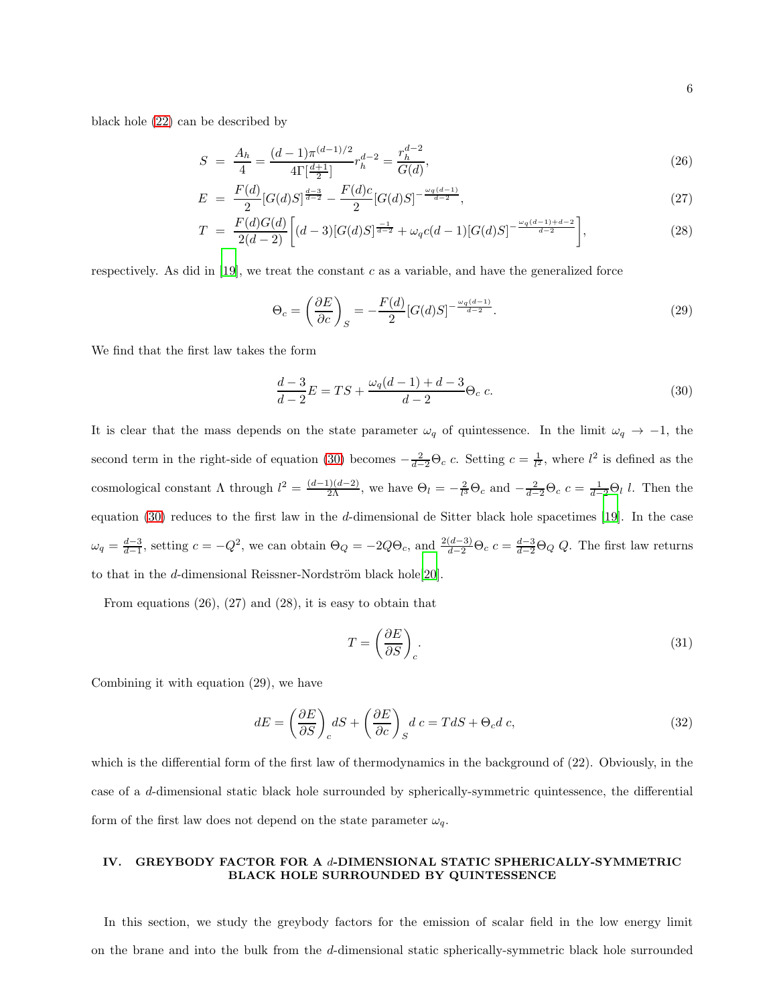black hole [\(22\)](#page-4-0) can be described by

$$
S = \frac{A_h}{4} = \frac{(d-1)\pi^{(d-1)/2}}{4\Gamma[\frac{d+1}{2}]} r_h^{d-2} = \frac{r_h^{d-2}}{G(d)},
$$
\n(26)

$$
E = \frac{F(d)}{2} [G(d)S]^{\frac{d-3}{d-2}} - \frac{F(d)c}{2} [G(d)S]^{-\frac{\omega_q(d-1)}{d-2}}, \qquad (27)
$$

$$
T = \frac{F(d)G(d)}{2(d-2)} \left[ (d-3)[G(d)S]^{\frac{-1}{d-2}} + \omega_q c(d-1)[G(d)S]^{\frac{\omega_q(d-1)+d-2}{d-2}} \right],\tag{28}
$$

respectively. As did in  $[19]$ , we treat the constant c as a variable, and have the generalized force

$$
\Theta_c = \left(\frac{\partial E}{\partial c}\right)_S = -\frac{F(d)}{2} [G(d)S]^{-\frac{\omega_q(d-1)}{d-2}}.\tag{29}
$$

We find that the first law takes the form

<span id="page-5-0"></span>
$$
\frac{d-3}{d-2}E = TS + \frac{\omega_q(d-1) + d - 3}{d-2}\Theta_c c.
$$
\n(30)

It is clear that the mass depends on the state parameter  $\omega_q$  of quintessence. In the limit  $\omega_q \to -1$ , the second term in the right-side of equation [\(30\)](#page-5-0) becomes  $-\frac{2}{d-2}\Theta_c$  c. Setting  $c=\frac{1}{l^2}$ , where  $l^2$  is defined as the cosmological constant  $\Lambda$  through  $l^2 = \frac{(d-1)(d-2)}{2\Lambda}$ , we have  $\Theta_l = -\frac{2}{l^3}\Theta_c$  and  $-\frac{2}{d-2}\Theta_c$   $c = \frac{1}{d-2}\Theta_l$  l. Then the equation [\(30\)](#page-5-0) reduces to the first law in the d-dimensional de Sitter black hole spacetimes [\[19\]](#page-15-5). In the case  $\omega_q = \frac{d-3}{d-1}$ , setting  $c = -Q^2$ , we can obtain  $\Theta_Q = -2Q\Theta_c$ , and  $\frac{2(d-3)}{d-2}\Theta_c$   $c = \frac{d-3}{d-2}\Theta_Q$  Q. The first law returns to that in the d-dimensional Reissner-Nordström black hole $[20]$  $[20]$ .

From equations (26), (27) and (28), it is easy to obtain that

$$
T = \left(\frac{\partial E}{\partial S}\right)_c.
$$
\n(31)

Combining it with equation (29), we have

$$
dE = \left(\frac{\partial E}{\partial S}\right)_c dS + \left(\frac{\partial E}{\partial c}\right)_S d c = T dS + \Theta_c d c,\tag{32}
$$

which is the differential form of the first law of thermodynamics in the background of (22). Obviously, in the case of a d-dimensional static black hole surrounded by spherically-symmetric quintessence, the differential form of the first law does not depend on the state parameter  $\omega_q$ .

# IV. GREYBODY FACTOR FOR A d-DIMENSIONAL STATIC SPHERICALLY-SYMMETRIC BLACK HOLE SURROUNDED BY QUINTESSENCE

In this section, we study the greybody factors for the emission of scalar field in the low energy limit on the brane and into the bulk from the d-dimensional static spherically-symmetric black hole surrounded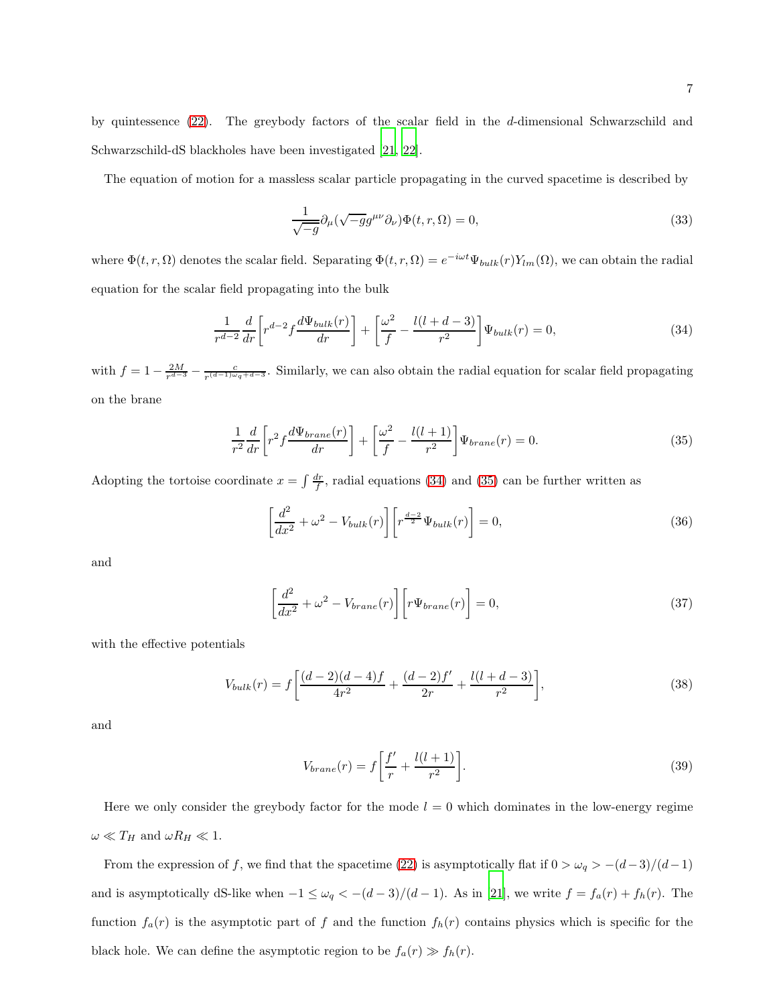by quintessence [\(22\)](#page-4-0). The greybody factors of the scalar field in the d-dimensional Schwarzschild and Schwarzschild-dS blackholes have been investigated [\[21,](#page-15-7) [22\]](#page-15-8).

The equation of motion for a massless scalar particle propagating in the curved spacetime is described by

$$
\frac{1}{\sqrt{-g}}\partial_{\mu}(\sqrt{-g}g^{\mu\nu}\partial_{\nu})\Phi(t,r,\Omega) = 0,
$$
\n(33)

where  $\Phi(t,r,\Omega)$  denotes the scalar field. Separating  $\Phi(t,r,\Omega) = e^{-i\omega t} \Psi_{bulk}(r) Y_{lm}(\Omega)$ , we can obtain the radial equation for the scalar field propagating into the bulk

<span id="page-6-0"></span>
$$
\frac{1}{r^{d-2}}\frac{d}{dr}\left[r^{d-2}f\frac{d\Psi_{bulk}(r)}{dr}\right] + \left[\frac{\omega^2}{f} - \frac{l(l+d-3)}{r^2}\right]\Psi_{bulk}(r) = 0,\tag{34}
$$

with  $f = 1 - \frac{2M}{r^{d-3}} - \frac{c}{r^{(d-1)\omega_q+d-3}}$ . Similarly, we can also obtain the radial equation for scalar field propagating on the brane

<span id="page-6-1"></span>
$$
\frac{1}{r^2}\frac{d}{dr}\left[r^2f\frac{d\Psi_{brane}(r)}{dr}\right] + \left[\frac{\omega^2}{f} - \frac{l(l+1)}{r^2}\right]\Psi_{brane}(r) = 0.
$$
\n(35)

Adopting the tortoise coordinate  $x = \int \frac{dr}{f}$ , radial equations [\(34\)](#page-6-0) and [\(35\)](#page-6-1) can be further written as

$$
\left[\frac{d^2}{dx^2} + \omega^2 - V_{bulk}(r)\right] \left[r^{\frac{d-2}{2}} \Psi_{bulk}(r)\right] = 0,\tag{36}
$$

and

$$
\left[\frac{d^2}{dx^2} + \omega^2 - V_{brane}(r)\right] \left[r\Psi_{brane}(r)\right] = 0,\tag{37}
$$

with the effective potentials

$$
V_{bulk}(r) = f \left[ \frac{(d-2)(d-4)f}{4r^2} + \frac{(d-2)f'}{2r} + \frac{l(l+d-3)}{r^2} \right],\tag{38}
$$

and

$$
V_{brane}(r) = f \left[ \frac{f'}{r} + \frac{l(l+1)}{r^2} \right].
$$
\n(39)

Here we only consider the greybody factor for the mode  $l = 0$  which dominates in the low-energy regime  $\omega \ll T_H$  and  $\omega R_H \ll 1$ .

From the expression of f, we find that the spacetime [\(22\)](#page-4-0) is asymptotically flat if  $0 > \omega_q > -(d-3)/(d-1)$ and is asymptotically dS-like when  $-1 \le \omega_q < -(d-3)/(d-1)$ . As in [\[21\]](#page-15-7), we write  $f = f_a(r) + f_h(r)$ . The function  $f_a(r)$  is the asymptotic part of f and the function  $f_h(r)$  contains physics which is specific for the black hole. We can define the asymptotic region to be  $f_a(r) \gg f_h(r)$ .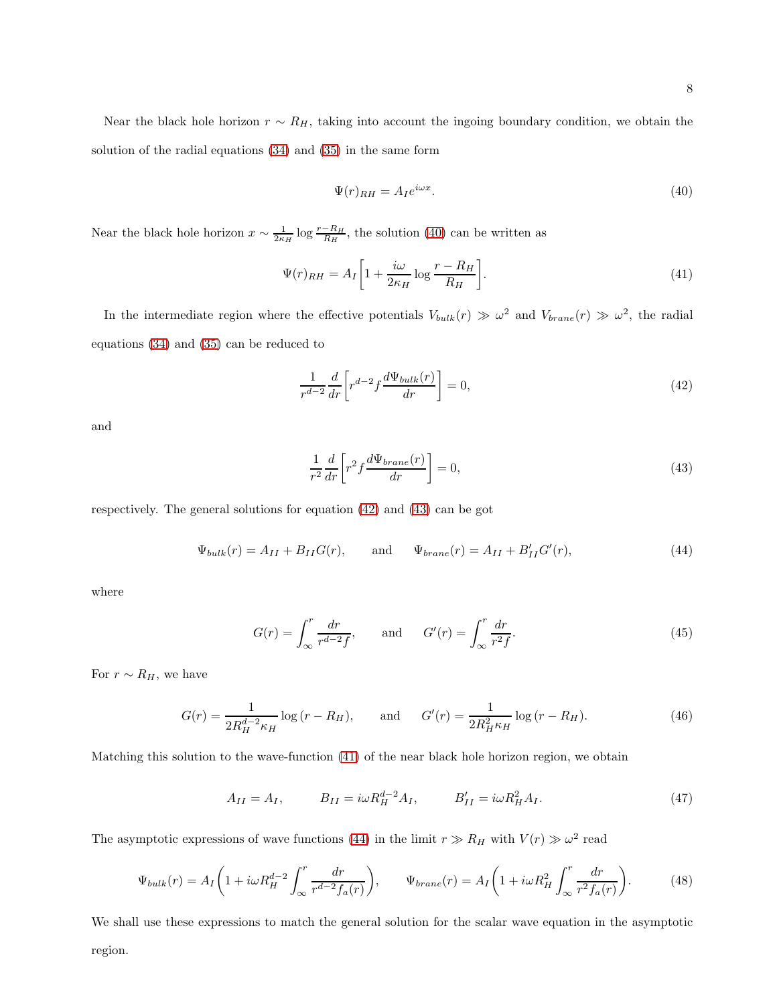Near the black hole horizon  $r \sim R_H$ , taking into account the ingoing boundary condition, we obtain the solution of the radial equations [\(34\)](#page-6-0) and [\(35\)](#page-6-1) in the same form

<span id="page-7-0"></span>
$$
\Psi(r)_{RH} = A_I e^{i\omega x}.\tag{40}
$$

Near the black hole horizon  $x \sim \frac{1}{2\kappa_H} \log \frac{r - R_H}{R_H}$ , the solution [\(40\)](#page-7-0) can be written as

<span id="page-7-3"></span>
$$
\Psi(r)_{RH} = A_I \left[ 1 + \frac{i\omega}{2\kappa_H} \log \frac{r - R_H}{R_H} \right].
$$
\n(41)

In the intermediate region where the effective potentials  $V_{bulk}(r) \gg \omega^2$  and  $V_{brane}(r) \gg \omega^2$ , the radial equations [\(34\)](#page-6-0) and [\(35\)](#page-6-1) can be reduced to

<span id="page-7-1"></span>
$$
\frac{1}{r^{d-2}}\frac{d}{dr}\left[r^{d-2}f\frac{d\Psi_{bulk}(r)}{dr}\right] = 0,\tag{42}
$$

and

<span id="page-7-2"></span>
$$
\frac{1}{r^2}\frac{d}{dr}\left[r^2f\frac{d\Psi_{brane}(r)}{dr}\right] = 0,\tag{43}
$$

respectively. The general solutions for equation [\(42\)](#page-7-1) and [\(43\)](#page-7-2) can be got

<span id="page-7-4"></span>
$$
\Psi_{bulk}(r) = A_{II} + B_{II}G(r)
$$
, and  $\Psi_{brane}(r) = A_{II} + B'_{II}G'(r)$ , (44)

where

$$
G(r) = \int_{\infty}^{r} \frac{dr}{r^{d-2}f}, \quad \text{and} \quad G'(r) = \int_{\infty}^{r} \frac{dr}{r^{2}f}.
$$
 (45)

For  $r \sim R_H$ , we have

$$
G(r) = \frac{1}{2R_H^{d-2}\kappa_H} \log(r - R_H), \quad \text{and} \quad G'(r) = \frac{1}{2R_H^2\kappa_H} \log(r - R_H). \tag{46}
$$

Matching this solution to the wave-function [\(41\)](#page-7-3) of the near black hole horizon region, we obtain

$$
A_{II} = A_I, \t B_{II} = i\omega R_H^{d-2} A_I, \t B'_{II} = i\omega R_H^2 A_I.
$$
 (47)

The asymptotic expressions of wave functions [\(44\)](#page-7-4) in the limit  $r \gg R_H$  with  $V(r) \gg \omega^2$  read

<span id="page-7-5"></span>
$$
\Psi_{bulk}(r) = A_I \left( 1 + i\omega R_H^{d-2} \int_{\infty}^r \frac{dr}{r^{d-2} f_a(r)} \right), \qquad \Psi_{brane}(r) = A_I \left( 1 + i\omega R_H^2 \int_{\infty}^r \frac{dr}{r^2 f_a(r)} \right). \tag{48}
$$

We shall use these expressions to match the general solution for the scalar wave equation in the asymptotic region.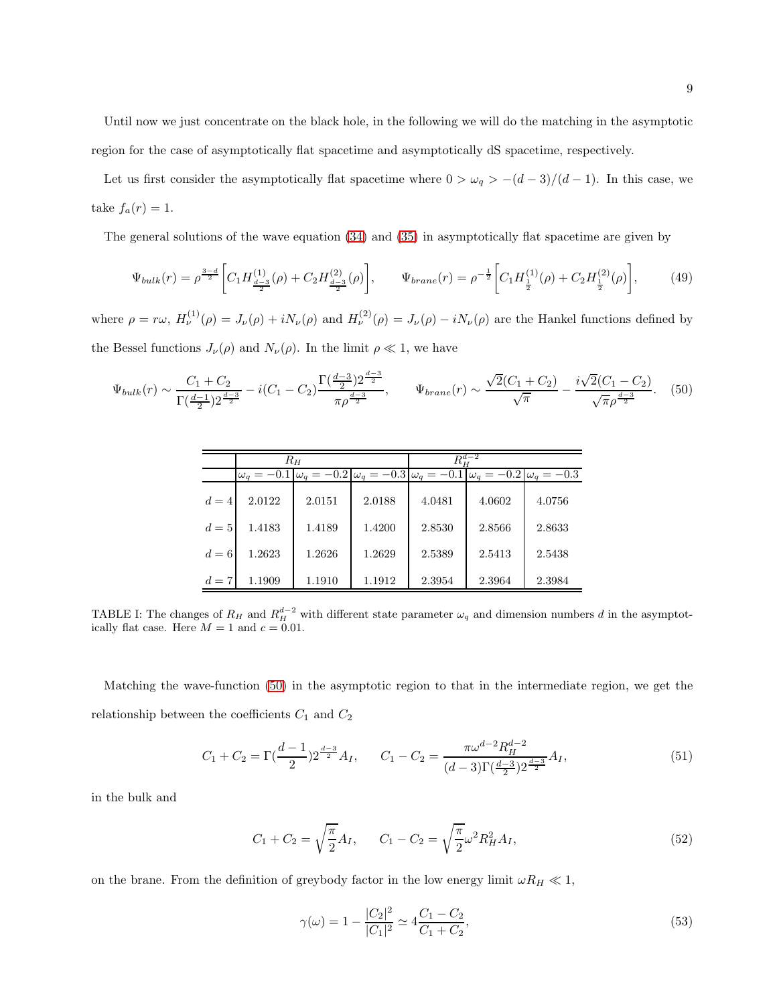Until now we just concentrate on the black hole, in the following we will do the matching in the asymptotic region for the case of asymptotically flat spacetime and asymptotically dS spacetime, respectively.

Let us first consider the asymptotically flat spacetime where  $0 > \omega_q > -(d-3)/(d-1)$ . In this case, we take  $f_a(r) = 1$ .

The general solutions of the wave equation [\(34\)](#page-6-0) and [\(35\)](#page-6-1) in asymptotically flat spacetime are given by

$$
\Psi_{bulk}(r) = \rho^{\frac{3-d}{2}} \left[ C_1 H_{\frac{d-3}{2}}^{(1)}(\rho) + C_2 H_{\frac{d-3}{2}}^{(2)}(\rho) \right], \qquad \Psi_{brane}(r) = \rho^{-\frac{1}{2}} \left[ C_1 H_{\frac{1}{2}}^{(1)}(\rho) + C_2 H_{\frac{1}{2}}^{(2)}(\rho) \right], \tag{49}
$$

where  $\rho = r\omega$ ,  $H_{\nu}^{(1)}(\rho) = J_{\nu}(\rho) + iN_{\nu}(\rho)$  and  $H_{\nu}^{(2)}(\rho) = J_{\nu}(\rho) - iN_{\nu}(\rho)$  are the Hankel functions defined by the Bessel functions  $J_{\nu}(\rho)$  and  $N_{\nu}(\rho)$ . In the limit  $\rho \ll 1$ , we have

<span id="page-8-0"></span>
$$
\Psi_{bulk}(r) \sim \frac{C_1 + C_2}{\Gamma(\frac{d-1}{2})2^{\frac{d-3}{2}}} - i(C_1 - C_2) \frac{\Gamma(\frac{d-3}{2})2^{\frac{d-3}{2}}}{\pi \rho^{\frac{d-3}{2}}}, \qquad \Psi_{brane}(r) \sim \frac{\sqrt{2}(C_1 + C_2)}{\sqrt{\pi}} - \frac{i\sqrt{2}(C_1 - C_2)}{\sqrt{\pi} \rho^{\frac{d-3}{2}}}.
$$
 (50)

|       |        | $R_H$  |        | $R_H^{d-2}$                                                                                                                                                                  |        |        |  |
|-------|--------|--------|--------|------------------------------------------------------------------------------------------------------------------------------------------------------------------------------|--------|--------|--|
|       |        |        |        | $\omega_q = -0.1 \left[ \omega_q = -0.2 \left[ \omega_q = -0.3 \left[ \omega_q = -0.1 \left[ \omega_q = -0.2 \left[ \omega_q = -0.3 \right] \right] \right] \right] \right]$ |        |        |  |
| $d=4$ | 2.0122 | 2.0151 | 2.0188 | 4.0481                                                                                                                                                                       | 4.0602 | 4.0756 |  |
| $d=5$ | 1.4183 | 1.4189 | 1.4200 | 2.8530                                                                                                                                                                       | 2.8566 | 2.8633 |  |
| $d=6$ | 1.2623 | 1.2626 | 1.2629 | 2.5389                                                                                                                                                                       | 2.5413 | 2.5438 |  |
| $d=7$ | 1.1909 | 1.1910 | 1.1912 | 2.3954                                                                                                                                                                       | 2.3964 | 2.3984 |  |

TABLE I: The changes of  $R_H$  and  $R_H^{d-2}$  with different state parameter  $\omega_q$  and dimension numbers d in the asymptotically flat case. Here  $M = 1$  and  $c = 0.01$ .

Matching the wave-function [\(50\)](#page-8-0) in the asymptotic region to that in the intermediate region, we get the relationship between the coefficients  $C_1$  and  $C_2$ 

$$
C_1 + C_2 = \Gamma\left(\frac{d-1}{2}\right)2^{\frac{d-3}{2}}A_I, \qquad C_1 - C_2 = \frac{\pi\omega^{d-2}R_H^{d-2}}{(d-3)\Gamma\left(\frac{d-3}{2}\right)2^{\frac{d-3}{2}}}A_I,
$$
\n
$$
(51)
$$

in the bulk and

$$
C_1 + C_2 = \sqrt{\frac{\pi}{2}} A_I, \qquad C_1 - C_2 = \sqrt{\frac{\pi}{2}} \omega^2 R_H^2 A_I,
$$
\n(52)

on the brane. From the definition of greybody factor in the low energy limit  $\omega R_H \ll 1$ ,

$$
\gamma(\omega) = 1 - \frac{|C_2|^2}{|C_1|^2} \simeq 4 \frac{C_1 - C_2}{C_1 + C_2},\tag{53}
$$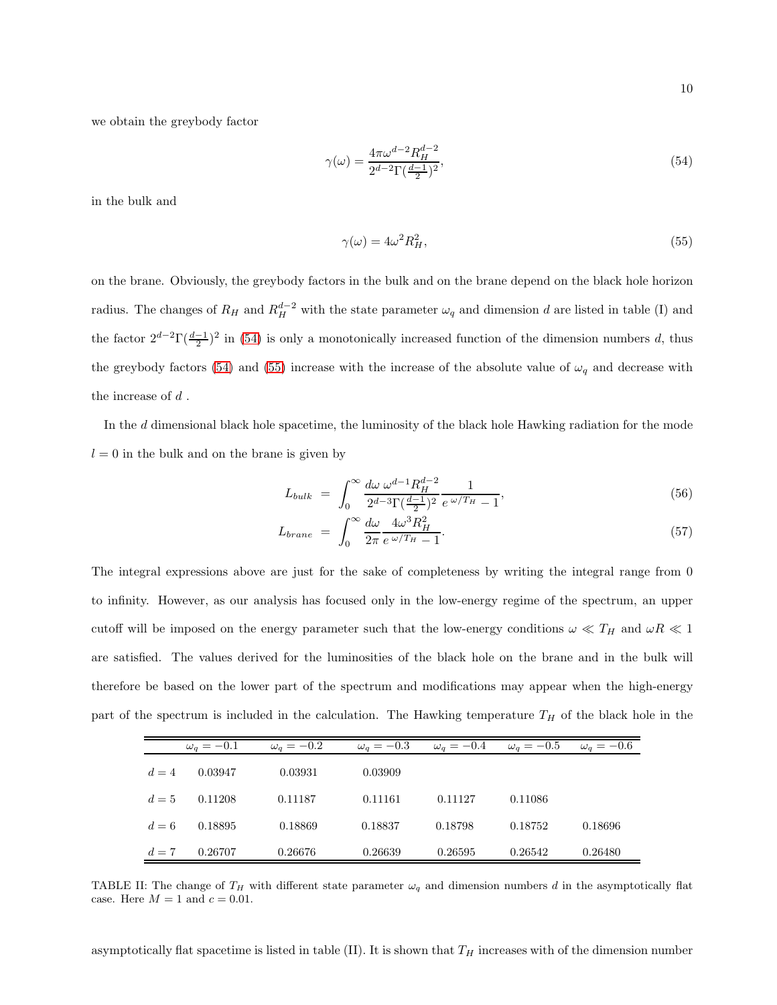we obtain the greybody factor

<span id="page-9-0"></span>
$$
\gamma(\omega) = \frac{4\pi\omega^{d-2}R_H^{d-2}}{2^{d-2}\Gamma(\frac{d-1}{2})^2},\tag{54}
$$

in the bulk and

<span id="page-9-1"></span>
$$
\gamma(\omega) = 4\omega^2 R_H^2,\tag{55}
$$

on the brane. Obviously, the greybody factors in the bulk and on the brane depend on the black hole horizon radius. The changes of  $R_H$  and  $R_H^{d-2}$  with the state parameter  $\omega_q$  and dimension d are listed in table (I) and the factor  $2^{d-2}\Gamma(\frac{d-1}{2})^2$  in [\(54\)](#page-9-0) is only a monotonically increased function of the dimension numbers d, thus the greybody factors [\(54\)](#page-9-0) and [\(55\)](#page-9-1) increase with the increase of the absolute value of  $\omega_q$  and decrease with the increase of  $d$ .

In the d dimensional black hole spacetime, the luminosity of the black hole Hawking radiation for the mode  $l = 0$  in the bulk and on the brane is given by

$$
L_{bulk} = \int_0^\infty \frac{d\omega \, \omega^{d-1} R_H^{d-2}}{2^{d-3} \Gamma(\frac{d-1}{2})^2} \frac{1}{e^{\omega/T_H} - 1},\tag{56}
$$

$$
L_{brane} = \int_0^\infty \frac{d\omega}{2\pi} \frac{4\omega^3 R_H^2}{e^{\omega/T_H} - 1}.
$$
\n(57)

The integral expressions above are just for the sake of completeness by writing the integral range from 0 to infinity. However, as our analysis has focused only in the low-energy regime of the spectrum, an upper cutoff will be imposed on the energy parameter such that the low-energy conditions  $\omega \ll T_H$  and  $\omega R \ll 1$ are satisfied. The values derived for the luminosities of the black hole on the brane and in the bulk will therefore be based on the lower part of the spectrum and modifications may appear when the high-energy part of the spectrum is included in the calculation. The Hawking temperature  $T_H$  of the black hole in the

|       | $\omega_q=-0.1$ | $\omega_q=-0.2$ | $\omega_q = -0.3$ | $\omega_q = -0.4$ | $\omega_q=-0.5$ | $\omega_a = -0.6$ |
|-------|-----------------|-----------------|-------------------|-------------------|-----------------|-------------------|
| $d=4$ | 0.03947         | 0.03931         | 0.03909           |                   |                 |                   |
| $d=5$ | 0.11208         | 0.11187         | 0.11161           | 0.11127           | 0.11086         |                   |
| $d=6$ | 0.18895         | 0.18869         | 0.18837           | 0.18798           | 0.18752         | 0.18696           |
| $d=7$ | 0.26707         | 0.26676         | 0.26639           | 0.26595           | 0.26542         | 0.26480           |

TABLE II: The change of  $T_H$  with different state parameter  $\omega_q$  and dimension numbers d in the asymptotically flat case. Here  $M = 1$  and  $c = 0.01$ .

asymptotically flat spacetime is listed in table (II). It is shown that  $T_H$  increases with of the dimension number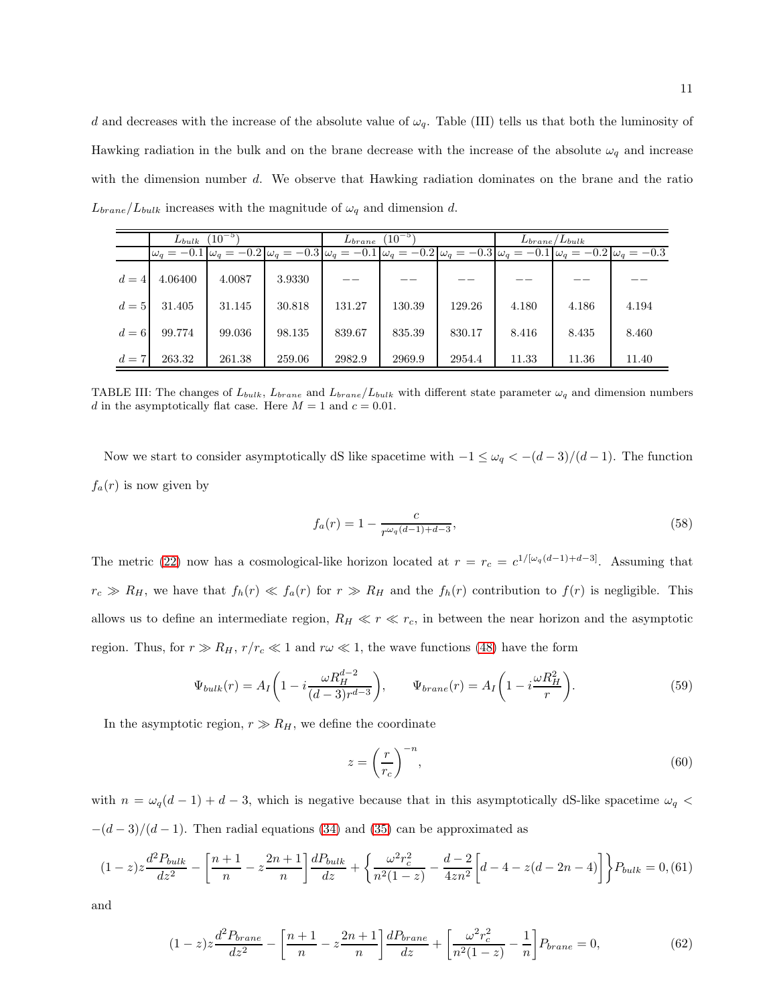d and decreases with the increase of the absolute value of  $\omega_q$ . Table (III) tells us that both the luminosity of Hawking radiation in the bulk and on the brane decrease with the increase of the absolute  $\omega_q$  and increase with the dimension number d. We observe that Hawking radiation dominates on the brane and the ratio  $L_{brane}/L_{bulk}$  increases with the magnitude of  $\omega_q$  and dimension d.

|       | $L_{bulk}$                                                                                                                                                                                                                                                                                                                                                                                                                                               | $(10^{-5})$ |        | $(10^{-5})$<br>$L_{brane}$ |        |        | $L_{brane}/L_{bulk}$ |       |       |
|-------|----------------------------------------------------------------------------------------------------------------------------------------------------------------------------------------------------------------------------------------------------------------------------------------------------------------------------------------------------------------------------------------------------------------------------------------------------------|-------------|--------|----------------------------|--------|--------|----------------------|-------|-------|
|       | $\omega_q = -0.1 \,  \omega_q = -0.2 \,  \omega_q = -0.3 \,  \omega_q = -0.1 \,  \omega_q = -0.2 \,  \omega_q = -0.3 \,  \omega_q = -0.1 \,  \omega_q = -0.2 \,  \omega_q = -0.3 \,  \omega_q = -0.3 \,  \omega_q = -0.3 \,  \omega_q = -0.3 \,  \omega_q = -0.3 \,  \omega_q = -0.3 \,  \omega_q = -0.3 \,  \omega_q = -0.3 \,  \omega_q = -0.3 \,  \omega_q = -0.3 \,  \omega_q = -0.3 \,  \omega_q = -0.3 \,  \omega_q = -0.3 \,  \omega_q = -0.3 \,$ |             |        |                            |        |        |                      |       |       |
| $d=4$ | 4.06400                                                                                                                                                                                                                                                                                                                                                                                                                                                  | 4.0087      | 3.9330 |                            |        |        |                      |       |       |
| $d=5$ | 31.405                                                                                                                                                                                                                                                                                                                                                                                                                                                   | 31.145      | 30.818 | 131.27                     | 130.39 | 129.26 | 4.180                | 4.186 | 4.194 |
| $d=6$ | 99.774                                                                                                                                                                                                                                                                                                                                                                                                                                                   | 99.036      | 98.135 | 839.67                     | 835.39 | 830.17 | 8.416                | 8.435 | 8.460 |
| $d=7$ | 263.32                                                                                                                                                                                                                                                                                                                                                                                                                                                   | 261.38      | 259.06 | 2982.9                     | 2969.9 | 2954.4 | 11.33                | 11.36 | 11.40 |

TABLE III: The changes of  $L_{bulk}$ ,  $L_{brane}$  and  $L_{brane}/L_{bulk}$  with different state parameter  $\omega_q$  and dimension numbers d in the asymptotically flat case. Here  $M = 1$  and  $c = 0.01$ .

Now we start to consider asymptotically dS like spacetime with  $-1 \leq \omega_q < -(d-3)/(d-1)$ . The function  $f_a(r)$  is now given by

$$
f_a(r) = 1 - \frac{c}{r^{\omega_q(d-1) + d - 3}},\tag{58}
$$

The metric [\(22\)](#page-4-0) now has a cosmological-like horizon located at  $r = r_c = c^{1/[\omega_q(d-1)+d-3]}$ . Assuming that  $r_c \gg R_H$ , we have that  $f_h(r) \ll f_a(r)$  for  $r \gg R_H$  and the  $f_h(r)$  contribution to  $f(r)$  is negligible. This allows us to define an intermediate region,  $R_H \ll r \ll r_c$ , in between the near horizon and the asymptotic region. Thus, for  $r \gg R_H$ ,  $r/r_c \ll 1$  and  $r\omega \ll 1$ , the wave functions [\(48\)](#page-7-5) have the form

<span id="page-10-1"></span>
$$
\Psi_{bulk}(r) = A_I \left( 1 - i \frac{\omega R_H^{d-2}}{(d-3)r^{d-3}} \right), \qquad \Psi_{brane}(r) = A_I \left( 1 - i \frac{\omega R_H^2}{r} \right). \tag{59}
$$

In the asymptotic region,  $r \gg R_H$ , we define the coordinate

$$
z = \left(\frac{r}{r_c}\right)^{-n},\tag{60}
$$

with  $n = \omega_q(d-1) + d - 3$ , which is negative because that in this asymptotically dS-like spacetime  $\omega_q$  <  $-(d-3)/(d-1)$ . Then radial equations [\(34\)](#page-6-0) and [\(35\)](#page-6-1) can be approximated as

<span id="page-10-0"></span>
$$
(1-z)z\frac{d^2P_{bulk}}{dz^2} - \left[\frac{n+1}{n} - z\frac{2n+1}{n}\right]\frac{dP_{bulk}}{dz} + \left\{\frac{\omega^2r_c^2}{n^2(1-z)} - \frac{d-2}{4zn^2}\left[d-4-z(d-2n-4)\right]\right\}P_{bulk} = 0, \text{(61)}
$$

and

$$
(1-z)z\frac{d^2P_{brane}}{dz^2} - \left[\frac{n+1}{n} - z\frac{2n+1}{n}\right]\frac{dP_{brane}}{dz} + \left[\frac{\omega^2 r_c^2}{n^2(1-z)} - \frac{1}{n}\right]P_{brane} = 0,\tag{62}
$$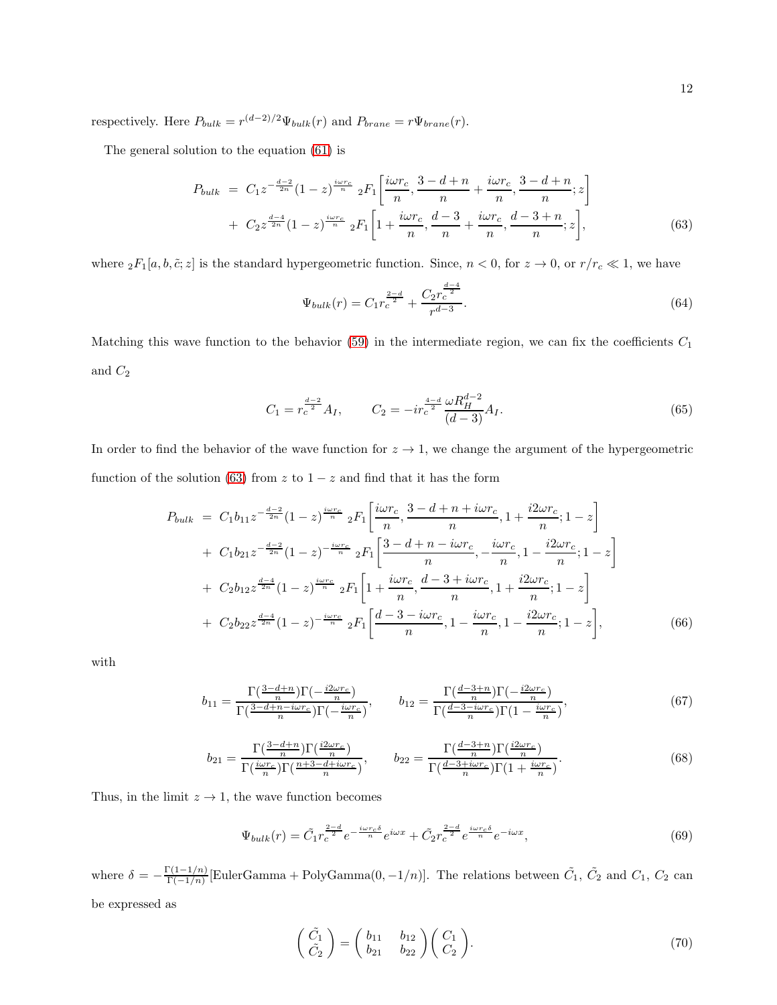respectively. Here  $P_{bulk} = r^{(d-2)/2} \Psi_{bulk}(r)$  and  $P_{brane} = r \Psi_{brane}(r)$ .

The general solution to the equation [\(61\)](#page-10-0) is

<span id="page-11-0"></span>
$$
P_{bulk} = C_1 z^{-\frac{d-2}{2n}} (1-z)^{\frac{i\omega r_c}{n}} {}_2F_1\left[\frac{i\omega r_c}{n}, \frac{3-d+n}{n} + \frac{i\omega r_c}{n}, \frac{3-d+n}{n}; z\right] + C_2 z^{\frac{d-4}{2n}} (1-z)^{\frac{i\omega r_c}{n}} {}_2F_1\left[1 + \frac{i\omega r_c}{n}, \frac{d-3}{n} + \frac{i\omega r_c}{n}, \frac{d-3+n}{n}; z\right],
$$
(63)

where  ${}_2F_1[a, b, \tilde{c}; z]$  is the standard hypergeometric function. Since,  $n < 0$ , for  $z \to 0$ , or  $r/r_c \ll 1$ , we have

$$
\Psi_{bulk}(r) = C_1 r_c^{\frac{2-d}{2}} + \frac{C_2 r_c^{\frac{d-4}{2}}}{r^{d-3}}.\tag{64}
$$

Matching this wave function to the behavior [\(59\)](#page-10-1) in the intermediate region, we can fix the coefficients  $C_1$ and  $C_2$ 

$$
C_1 = r_c^{\frac{d-2}{2}} A_I, \qquad C_2 = -ir_c^{\frac{4-d}{2}} \frac{\omega R_H^{d-2}}{(d-3)} A_I.
$$
\n(65)

In order to find the behavior of the wave function for  $z \to 1$ , we change the argument of the hypergeometric function of the solution [\(63\)](#page-11-0) from z to  $1 - z$  and find that it has the form

$$
P_{bulk} = C_1 b_{11} z^{-\frac{d-2}{2n}} (1-z)^{\frac{i\omega r_c}{n}} {}_2F_1 \left[ \frac{i\omega r_c}{n}, \frac{3-d+n+i\omega r_c}{n}, 1+\frac{i2\omega r_c}{n}; 1-z \right] + C_1 b_{21} z^{-\frac{d-2}{2n}} (1-z)^{-\frac{i\omega r_c}{n}} {}_2F_1 \left[ \frac{3-d+n-i\omega r_c}{n}, -\frac{i\omega r_c}{n}, 1-\frac{i2\omega r_c}{n}; 1-z \right] + C_2 b_{12} z^{\frac{d-4}{2n}} (1-z)^{\frac{i\omega r_c}{n}} {}_2F_1 \left[ 1+\frac{i\omega r_c}{n}, \frac{d-3+i\omega r_c}{n}, 1+\frac{i2\omega r_c}{n}; 1-z \right] + C_2 b_{22} z^{\frac{d-4}{2n}} (1-z)^{-\frac{i\omega r_c}{n}} {}_2F_1 \left[ \frac{d-3-i\omega r_c}{n}, 1-\frac{i\omega r_c}{n}, 1-\frac{i2\omega r_c}{n}; 1-z \right], \tag{66}
$$

with

$$
b_{11} = \frac{\Gamma(\frac{3-d+n}{n})\Gamma(-\frac{i2\omega r_c}{n})}{\Gamma(\frac{3-d+n-i\omega r_c}{n})\Gamma(-\frac{i\omega r_c}{n})}, \qquad b_{12} = \frac{\Gamma(\frac{d-3+n}{n})\Gamma(-\frac{i2\omega r_c}{n})}{\Gamma(\frac{d-3-i\omega r_c}{n})\Gamma(1-\frac{i\omega r_c}{n})},\tag{67}
$$

$$
b_{21} = \frac{\Gamma(\frac{3-d+n}{n})\Gamma(\frac{i2\omega r_c}{n})}{\Gamma(\frac{i\omega r_c}{n})\Gamma(\frac{n+3-d+i\omega r_c}{n})}, \qquad b_{22} = \frac{\Gamma(\frac{d-3+n}{n})\Gamma(\frac{i2\omega r_c}{n})}{\Gamma(\frac{d-3+i\omega r_c}{n})\Gamma(1+\frac{i\omega r_c}{n})}.
$$
(68)

Thus, in the limit  $z \to 1$ , the wave function becomes

$$
\Psi_{bulk}(r) = \tilde{C}_1 r_c^{\frac{2-d}{2}} e^{-\frac{i\omega r_c \delta}{n}} e^{i\omega x} + \tilde{C}_2 r_c^{\frac{2-d}{2}} e^{\frac{i\omega r_c \delta}{n}} e^{-i\omega x},\tag{69}
$$

where  $\delta = -\frac{\Gamma(1-1/n)}{\Gamma(-1/n)}$  $\frac{\Gamma(1-1/n)}{\Gamma(-1/n)}$ [EulerGamma + PolyGamma $(0, -1/n)$ ]. The relations between  $\tilde{C}_1$ ,  $\tilde{C}_2$  and  $C_1$ ,  $C_2$  can be expressed as

$$
\begin{pmatrix}\n\tilde{C}_1 \\
\tilde{C}_2\n\end{pmatrix} = \begin{pmatrix}\nb_{11} & b_{12} \\
b_{21} & b_{22}\n\end{pmatrix} \begin{pmatrix}\nC_1 \\
C_2\n\end{pmatrix}.
$$
\n(70)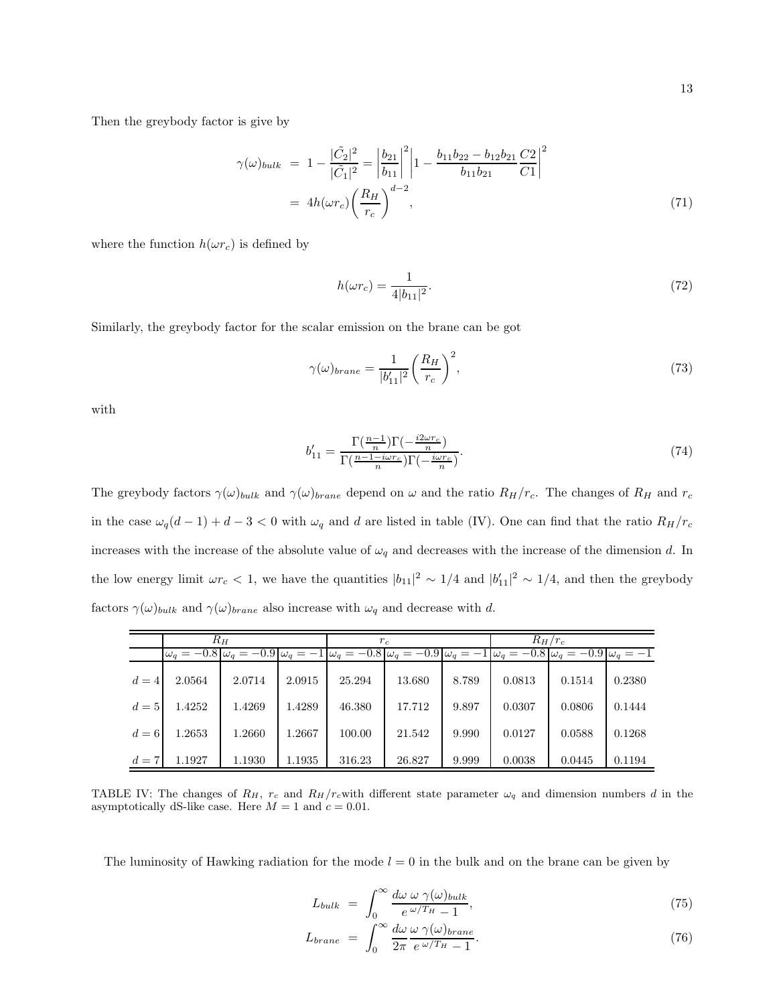Then the greybody factor is give by

$$
\gamma(\omega)_{bulk} = 1 - \frac{|\tilde{C}_2|^2}{|\tilde{C}_1|^2} = \left| \frac{b_{21}}{b_{11}} \right|^2 \left| 1 - \frac{b_{11}b_{22} - b_{12}b_{21}}{b_{11}b_{21}} \frac{C_2}{C_1} \right|^2
$$
  
=  $4h(\omega r_c) \left( \frac{R_H}{r_c} \right)^{d-2},$  (71)

where the function  $h(\omega r_c)$  is defined by

$$
h(\omega r_c) = \frac{1}{4|b_{11}|^2}.\tag{72}
$$

Similarly, the greybody factor for the scalar emission on the brane can be got

$$
\gamma(\omega)_{brane} = \frac{1}{|b'_{11}|^2} \left(\frac{R_H}{r_c}\right)^2,\tag{73}
$$

with

$$
b'_{11} = \frac{\Gamma(\frac{n-1}{n})\Gamma(-\frac{i2\omega r_c}{n})}{\Gamma(\frac{n-1-i\omega r_c}{n})\Gamma(-\frac{i\omega r_c}{n})}.
$$
\n(74)

The greybody factors  $\gamma(\omega)_{bulk}$  and  $\gamma(\omega)_{brane}$  depend on  $\omega$  and the ratio  $R_H/r_c$ . The changes of  $R_H$  and  $r_c$ in the case  $\omega_q(d-1) + d - 3 < 0$  with  $\omega_q$  and d are listed in table (IV). One can find that the ratio  $R_H/r_c$ increases with the increase of the absolute value of  $\omega_q$  and decreases with the increase of the dimension d. In the low energy limit  $\omega r_c < 1$ , we have the quantities  $|b_{11}|^2 \sim 1/4$  and  $|b'_{11}|^2 \sim 1/4$ , and then the greybody factors  $\gamma(\omega)_{bulk}$  and  $\gamma(\omega)_{brane}$  also increase with  $\omega_q$  and decrease with d.

|       | $R_H$  |        |        | $r_c$  |        |       | $R_H/r_c$ |                                                                                                                                                                             |        |
|-------|--------|--------|--------|--------|--------|-------|-----------|-----------------------------------------------------------------------------------------------------------------------------------------------------------------------------|--------|
|       |        |        |        |        |        |       |           | $\omega_a = -0.8 \,  \omega_a = -0.9 \,  \omega_a = -1 \,  \omega_a = -0.8 \,  \omega_a = -0.9 \,  \omega_a = -1 \,  \omega_a = -0.8 \,  \omega_a = -0.9 \,  \omega_a = -1$ |        |
| $d=4$ | 2.0564 | 2.0714 | 2.0915 | 25.294 | 13.680 | 8.789 | 0.0813    | 0.1514                                                                                                                                                                      | 0.2380 |
| $d=5$ | 1.4252 | 1.4269 | 1.4289 | 46.380 | 17.712 | 9.897 | 0.0307    | 0.0806                                                                                                                                                                      | 0.1444 |
| $d=6$ | 1.2653 | 1.2660 | 1.2667 | 100.00 | 21.542 | 9.990 | 0.0127    | 0.0588                                                                                                                                                                      | 0.1268 |
| $d=7$ | 1.1927 | 1.1930 | 1.1935 | 316.23 | 26.827 | 9.999 | 0.0038    | 0.0445                                                                                                                                                                      | 0.1194 |

TABLE IV: The changes of  $R_H$ ,  $r_c$  and  $R_H/r_c$  with different state parameter  $\omega_q$  and dimension numbers d in the asymptotically dS-like case. Here  $M = 1$  and  $c = 0.01$ .

The luminosity of Hawking radiation for the mode  $l = 0$  in the bulk and on the brane can be given by

$$
L_{bulk} = \int_0^\infty \frac{d\omega \,\omega \,\gamma(\omega)_{bulk}}{e^{\,\omega/T_H} - 1},\tag{75}
$$

$$
L_{brane} = \int_0^\infty \frac{d\omega}{2\pi} \frac{\omega \ \gamma(\omega)_{brane}}{e^{\ \omega/T_H} - 1}.
$$
\n(76)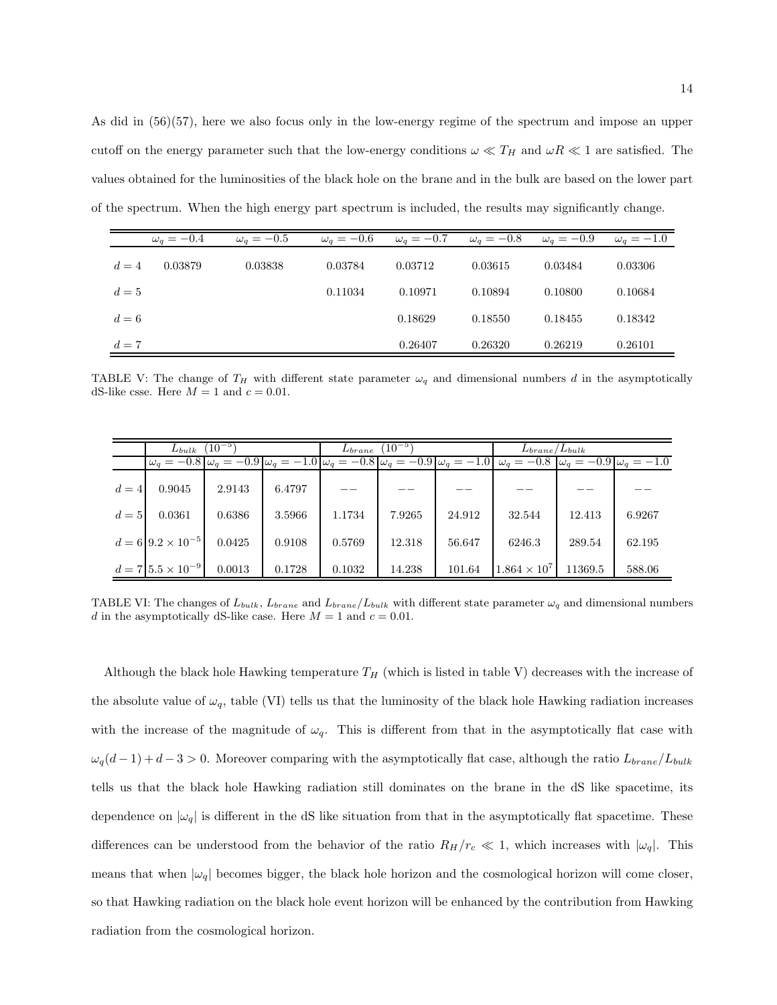As did in (56)(57), here we also focus only in the low-energy regime of the spectrum and impose an upper cutoff on the energy parameter such that the low-energy conditions  $\omega \ll T_H$  and  $\omega R \ll 1$  are satisfied. The values obtained for the luminosities of the black hole on the brane and in the bulk are based on the lower part of the spectrum. When the high energy part spectrum is included, the results may significantly change.

|       | $\omega_q = -0.4$ | $\omega_q = -0.5$ | $\omega_q=-0.6$ | $\omega_q=-0.7$ | $\omega_q = -0.8$ | $\omega_q = -0.9$ | $\omega_q=-1.0$ |
|-------|-------------------|-------------------|-----------------|-----------------|-------------------|-------------------|-----------------|
| $d=4$ | 0.03879           | 0.03838           | 0.03784         | 0.03712         | 0.03615           | 0.03484           | 0.03306         |
| $d=5$ |                   |                   | 0.11034         | 0.10971         | 0.10894           | 0.10800           | 0.10684         |
| $d=6$ |                   |                   |                 | 0.18629         | 0.18550           | 0.18455           | 0.18342         |
| $d=7$ |                   |                   |                 | 0.26407         | 0.26320           | 0.26219           | 0.26101         |

TABLE V: The change of  $T_H$  with different state parameter  $\omega_q$  and dimensional numbers d in the asymptotically dS-like csse. Here  $M = 1$  and  $c = 0.01$ .

|       | $L_{bulk}$                     | $(10^{-5})$ |        | $(10^{-5})$<br>$L_{brane}$ |        |        | $L_{brane}/L_{bulk}$                                                                                                                                              |         |        |
|-------|--------------------------------|-------------|--------|----------------------------|--------|--------|-------------------------------------------------------------------------------------------------------------------------------------------------------------------|---------|--------|
|       |                                |             |        |                            |        |        | $\omega_q = -0.8 \omega_q = -0.9 \omega_q = -1.0 \omega_q = -0.8 \omega_q = -0.9 \omega_q = -1.0 \omega_q = -0.8 \omega_q = -0.8 \omega_q = -0.9 \omega_q = -1.0$ |         |        |
| $d=4$ | 0.9045                         | 2.9143      | 6.4797 |                            |        |        |                                                                                                                                                                   |         |        |
| $d=5$ | 0.0361                         | 0.6386      | 3.5966 | 1.1734                     | 7.9265 | 24.912 | 32.544                                                                                                                                                            | 12.413  | 6.9267 |
|       | $d = 6 9.2 \times 10^{-5} $    | 0.0425      | 0.9108 | 0.5769                     | 12.318 | 56.647 | 6246.3                                                                                                                                                            | 289.54  | 62.195 |
|       | $d = 7   5.5 \times 10^{-9}  $ | 0.0013      | 0.1728 | 0.1032                     | 14.238 | 101.64 | $1.864 \times 10^{7}$                                                                                                                                             | 11369.5 | 588.06 |

TABLE VI: The changes of  $L_{bulk}$ ,  $L_{brane}$  and  $L_{brane}/L_{bulk}$  with different state parameter  $\omega_q$  and dimensional numbers d in the asymptotically dS-like case. Here  $M = 1$  and  $c = 0.01$ .

Although the black hole Hawking temperature  $T_H$  (which is listed in table V) decreases with the increase of the absolute value of  $\omega_q$ , table (VI) tells us that the luminosity of the black hole Hawking radiation increases with the increase of the magnitude of  $\omega_q$ . This is different from that in the asymptotically flat case with  $\omega_q(d-1) + d-3 > 0$ . Moreover comparing with the asymptotically flat case, although the ratio  $L_{brane}/L_{bulk}$ tells us that the black hole Hawking radiation still dominates on the brane in the dS like spacetime, its dependence on  $|\omega_q|$  is different in the dS like situation from that in the asymptotically flat spacetime. These differences can be understood from the behavior of the ratio  $R_H/r_c \ll 1$ , which increases with  $|\omega_q|$ . This means that when  $|\omega_q|$  becomes bigger, the black hole horizon and the cosmological horizon will come closer, so that Hawking radiation on the black hole event horizon will be enhanced by the contribution from Hawking radiation from the cosmological horizon.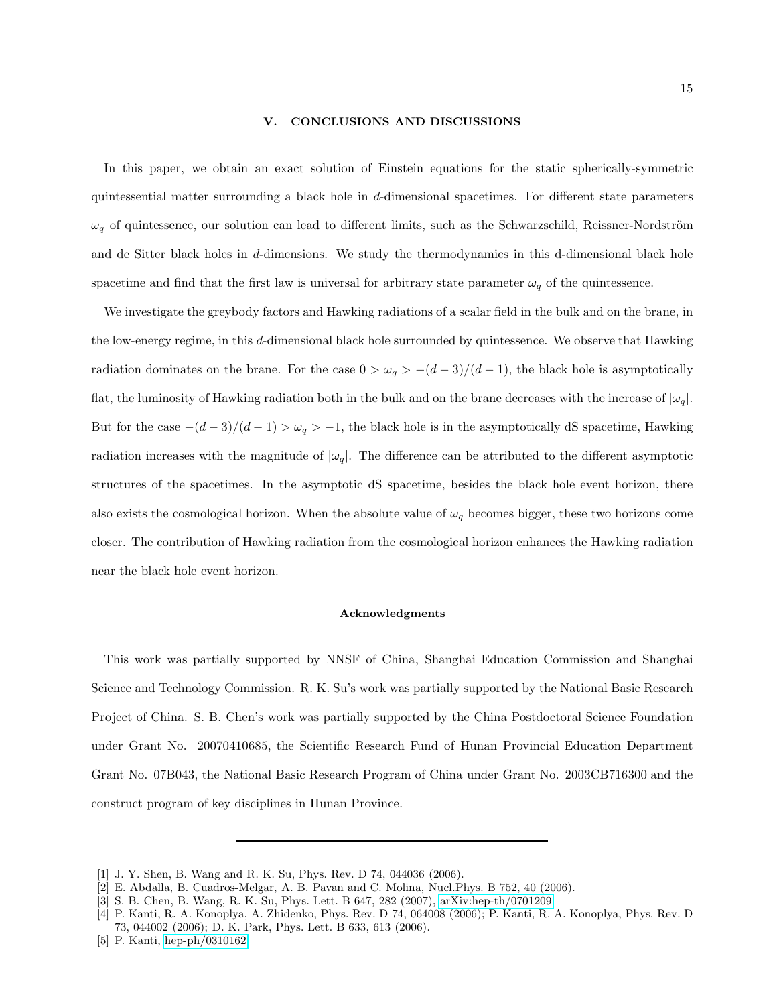#### V. CONCLUSIONS AND DISCUSSIONS

In this paper, we obtain an exact solution of Einstein equations for the static spherically-symmetric quintessential matter surrounding a black hole in d-dimensional spacetimes. For different state parameters  $\omega_q$  of quintessence, our solution can lead to different limits, such as the Schwarzschild, Reissner-Nordström and de Sitter black holes in d-dimensions. We study the thermodynamics in this d-dimensional black hole spacetime and find that the first law is universal for arbitrary state parameter  $\omega_q$  of the quintessence.

We investigate the greybody factors and Hawking radiations of a scalar field in the bulk and on the brane, in the low-energy regime, in this d-dimensional black hole surrounded by quintessence. We observe that Hawking radiation dominates on the brane. For the case  $0 > \omega_q > -(d-3)/(d-1)$ , the black hole is asymptotically flat, the luminosity of Hawking radiation both in the bulk and on the brane decreases with the increase of  $|\omega_q|$ . But for the case  $-(d-3)/(d-1) > \omega_q > -1$ , the black hole is in the asymptotically dS spacetime, Hawking radiation increases with the magnitude of  $|\omega_q|$ . The difference can be attributed to the different asymptotic structures of the spacetimes. In the asymptotic dS spacetime, besides the black hole event horizon, there also exists the cosmological horizon. When the absolute value of  $\omega_q$  becomes bigger, these two horizons come closer. The contribution of Hawking radiation from the cosmological horizon enhances the Hawking radiation near the black hole event horizon.

### Acknowledgments

This work was partially supported by NNSF of China, Shanghai Education Commission and Shanghai Science and Technology Commission. R. K. Su's work was partially supported by the National Basic Research Project of China. S. B. Chen's work was partially supported by the China Postdoctoral Science Foundation under Grant No. 20070410685, the Scientific Research Fund of Hunan Provincial Education Department Grant No. 07B043, the National Basic Research Program of China under Grant No. 2003CB716300 and the construct program of key disciplines in Hunan Province.

<span id="page-14-0"></span><sup>[1]</sup> J. Y. Shen, B. Wang and R. K. Su, Phys. Rev. D 74, 044036 (2006).

<span id="page-14-1"></span><sup>[2]</sup> E. Abdalla, B. Cuadros-Melgar, A. B. Pavan and C. Molina, Nucl.Phys. B 752, 40 (2006).

<span id="page-14-2"></span><sup>[3]</sup> S. B. Chen, B. Wang, R. K. Su, Phys. Lett. B 647, 282 (2007), [arXiv:hep-th/0701209.](http://arxiv.org/abs/hep-th/0701209)

<span id="page-14-3"></span><sup>[4]</sup> P. Kanti, R. A. Konoplya, A. Zhidenko, Phys. Rev. D 74, 064008 (2006); P. Kanti, R. A. Konoplya, Phys. Rev. D 73, 044002 (2006); D. K. Park, Phys. Lett. B 633, 613 (2006).

<span id="page-14-4"></span><sup>[5]</sup> P. Kanti, [hep-ph/0310162.](http://arxiv.org/abs/hep-ph/0310162)